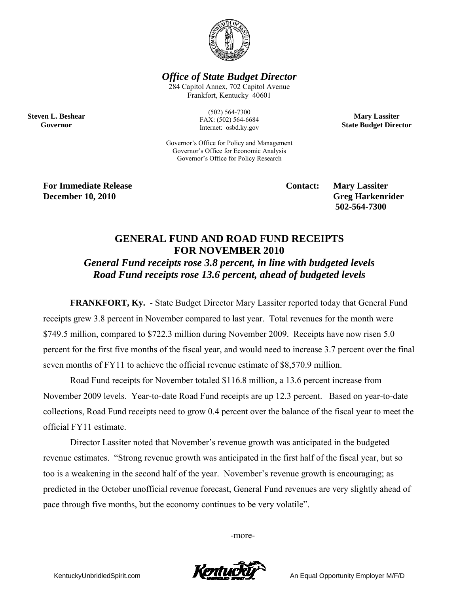

*Office of State Budget Director* 

284 Capitol Annex, 702 Capitol Avenue Frankfort, Kentucky 40601

> (502) 564-7300 FAX: (502) 564-6684 Internet: osbd.ky.gov

**Mary Lassiter State Budget Director** 

Governor's Office for Policy and Management Governor's Office for Economic Analysis Governor's Office for Policy Research

**For Immediate Release Service Service Service Contact: Mary Lassiter December 10, 2010** Greg Harkenrider **Greg Harkenrider Greg Harkenrider Greg Harkenrider** 

**Steven L. Beshear Governor** 

 **502-564-7300** 

## **GENERAL FUND AND ROAD FUND RECEIPTS FOR NOVEMBER 2010**

*General Fund receipts rose 3.8 percent, in line with budgeted levels Road Fund receipts rose 13.6 percent, ahead of budgeted levels* 

**FRANKFORT, Ky.** - State Budget Director Mary Lassiter reported today that General Fund receipts grew 3.8 percent in November compared to last year. Total revenues for the month were \$749.5 million, compared to \$722.3 million during November 2009. Receipts have now risen 5.0 percent for the first five months of the fiscal year, and would need to increase 3.7 percent over the final seven months of FY11 to achieve the official revenue estimate of \$8,570.9 million.

Road Fund receipts for November totaled \$116.8 million, a 13.6 percent increase from November 2009 levels. Year-to-date Road Fund receipts are up 12.3 percent. Based on year-to-date collections, Road Fund receipts need to grow 0.4 percent over the balance of the fiscal year to meet the official FY11 estimate.

Director Lassiter noted that November's revenue growth was anticipated in the budgeted revenue estimates. "Strong revenue growth was anticipated in the first half of the fiscal year, but so too is a weakening in the second half of the year. November's revenue growth is encouraging; as predicted in the October unofficial revenue forecast, General Fund revenues are very slightly ahead of pace through five months, but the economy continues to be very volatile".

-more-



KentuckyUnbridledSpirit.com **An Equal Opportunity Employer M/F/D**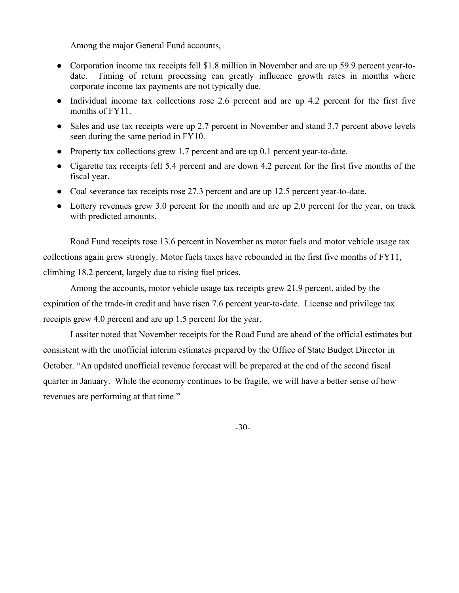Among the major General Fund accounts,

- Corporation income tax receipts fell \$1.8 million in November and are up 59.9 percent year-todate. Timing of return processing can greatly influence growth rates in months where corporate income tax payments are not typically due.
- Individual income tax collections rose 2.6 percent and are up 4.2 percent for the first five months of FY11.
- Sales and use tax receipts were up 2.7 percent in November and stand 3.7 percent above levels seen during the same period in FY10.
- Property tax collections grew 1.7 percent and are up 0.1 percent year-to-date.
- Cigarette tax receipts fell 5.4 percent and are down 4.2 percent for the first five months of the fiscal year.
- Coal severance tax receipts rose 27.3 percent and are up 12.5 percent year-to-date.
- Lottery revenues grew 3.0 percent for the month and are up 2.0 percent for the year, on track with predicted amounts.

Road Fund receipts rose 13.6 percent in November as motor fuels and motor vehicle usage tax collections again grew strongly. Motor fuels taxes have rebounded in the first five months of FY11, climbing 18.2 percent, largely due to rising fuel prices.

Among the accounts, motor vehicle usage tax receipts grew 21.9 percent, aided by the expiration of the trade-in credit and have risen 7.6 percent year-to-date. License and privilege tax receipts grew 4.0 percent and are up 1.5 percent for the year.

Lassiter noted that November receipts for the Road Fund are ahead of the official estimates but consistent with the unofficial interim estimates prepared by the Office of State Budget Director in October. "An updated unofficial revenue forecast will be prepared at the end of the second fiscal quarter in January. While the economy continues to be fragile, we will have a better sense of how revenues are performing at that time."

-30-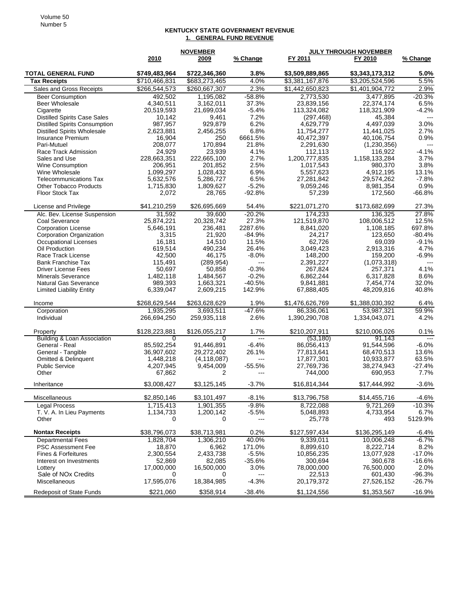## **KENTUCKY STATE GOVERNMENT REVENUE 1. GENERAL FUND REVENUE**

|                                                        |                 | <b>NOVEMBER</b>  |                          | <b>JULY THROUGH NOVEMBER</b> |                          |                          |
|--------------------------------------------------------|-----------------|------------------|--------------------------|------------------------------|--------------------------|--------------------------|
|                                                        | 2010            | 2009             | % Change                 | FY 2011                      | FY 2010                  | % Change                 |
| <b>TOTAL GENERAL FUND</b>                              | \$749,483,964   | \$722,346,360    | 3.8%                     | \$3,509,889,865              | \$3,343,173,312          | 5.0%                     |
| <b>Tax Receipts</b>                                    | \$710,466,831   | \$683,273,465    | 4.0%                     | \$3,381,167,876              | \$3,205,524,596          | 5.5%                     |
| Sales and Gross Receipts                               | \$266,544,573   | \$260,667,307    | 2.3%                     | \$1,442,650,823              | \$1,401,904,772          | 2.9%                     |
| <b>Beer Consumption</b>                                | 492,502         | 1,195,082        | $-58.8%$                 | 2,773,530                    | 3,477,895                | $-20.3%$                 |
| <b>Beer Wholesale</b>                                  | 4,340,511       | 3,162,011        | 37.3%                    | 23,839,156                   | 22,374,174               | 6.5%                     |
| Cigarette                                              | 20,519,593      | 21,699,034       | $-5.4%$                  | 113,324,082                  | 118,321,909              | $-4.2%$                  |
| <b>Distilled Spirits Case Sales</b>                    | 10,142          | 9,461            | 7.2%                     | (297, 468)                   | 45,384                   |                          |
| <b>Distilled Spirits Consumption</b>                   | 987,957         | 929,879          | 6.2%                     | 4,629,779                    | 4,497,039                | 3.0%                     |
| <b>Distilled Spirits Wholesale</b>                     | 2,623,881       | 2,456,255        | 6.8%                     | 11,754,277                   | 11,441,025               | 2.7%                     |
| Insurance Premium                                      | 16,904          | 250              | 6661.5%                  | 40,472,397                   | 40,106,754               | 0.9%                     |
| Pari-Mutuel                                            | 208,077         | 170,894          | 21.8%                    | 2,291,630                    | (1,230,356)              | $\overline{\phantom{a}}$ |
| Race Track Admission                                   | 24,929          | 23,939           | 4.1%                     | 112.113                      | 116,922                  | $-4.1%$                  |
| Sales and Use                                          | 228,663,351     | 222,665,100      | 2.7%                     | 1,200,777,835                | 1,158,133,284            | 3.7%                     |
| <b>Wine Consumption</b>                                | 206,951         | 201,852          | 2.5%                     | 1,017,543                    | 980,370                  | 3.8%                     |
| Wine Wholesale                                         | 1,099,297       | 1,028,432        | 6.9%                     | 5,557,623                    | 4,912,195                | 13.1%                    |
| <b>Telecommunications Tax</b>                          | 5,632,576       | 5,286,727        | 6.5%                     | 27,281,842                   | 29,574,262               | $-7.8%$                  |
| <b>Other Tobacco Products</b>                          | 1,715,830       | 1,809,627        | $-5.2%$                  | 9,059,246                    | 8,981,354                | 0.9%                     |
| Floor Stock Tax                                        | 2,072           | 28,765           | $-92.8%$                 | 57,239                       | 172,560                  | $-66.8%$                 |
| License and Privilege                                  | \$41,210,259    | \$26,695,669     | 54.4%                    | \$221,071,270                | \$173,682,699            | 27.3%                    |
| Alc. Bev. License Suspension                           | 31,592          | 39,600           | $-20.2%$                 | 174,233                      | 136,325                  | 27.8%                    |
| Coal Severance                                         | 25,874,221      | 20.328.742       | 27.3%                    | 121,519,870                  | 108,006,512              | 12.5%                    |
| <b>Corporation License</b><br>Corporation Organization | 5,646,191       | 236,481          | 2287.6%<br>$-84.9%$      | 8,841,020                    | 1,108,185                | 697.8%<br>$-80.4%$       |
| <b>Occupational Licenses</b>                           | 3,315<br>16,181 | 21,920<br>14,510 | 11.5%                    | 24,217<br>62.726             | 123,650<br>69,039        | $-9.1%$                  |
| Oil Production                                         | 619,514         | 490,234          | 26.4%                    | 3,049,423                    | 2,913,316                | 4.7%                     |
| Race Track License                                     | 42,500          | 46,175           | $-8.0%$                  | 148,200                      | 159,200                  | $-6.9%$                  |
| <b>Bank Franchise Tax</b>                              | 115,491         | (289, 954)       | $---$                    | 2,391,227                    | (1,073,318)              | $---$                    |
| <b>Driver License Fees</b>                             | 50,697          | 50,858           | $-0.3%$                  | 267,824                      | 257,371                  | 4.1%                     |
| <b>Minerals Severance</b>                              | 1,482,118       | 1,484,567        | $-0.2%$                  | 6,862,244                    | 6,317,828                | 8.6%                     |
| <b>Natural Gas Severance</b>                           | 989,393         | 1,663,321        | $-40.5%$                 | 9,841,881                    | 7,454,774                | 32.0%                    |
| <b>Limited Liability Entity</b>                        | 6,339,047       | 2,609,215        | 142.9%                   | 67,888,405                   | 48,209,816               | 40.8%                    |
| Income                                                 | \$268,629,544   | \$263,628,629    | 1.9%                     | \$1,476,626,769              | \$1,388,030,392          | 6.4%                     |
| Corporation                                            | 1,935,295       | 3,693,511        | $-47.6%$                 | 86,336,061                   | 53,987,321               | 59.9%                    |
| Individual                                             | 266,694,250     | 259,935,118      | 2.6%                     | 1,390,290,708                | 1,334,043,071            | 4.2%                     |
| Property                                               | \$128,223,881   | \$126,055,217    | 1.7%                     | \$210,207,911                | \$210,006,026            | 0.1%                     |
| Building & Loan Association                            | $\overline{0}$  | 0                | $\overline{\phantom{a}}$ | (53.180)                     | 91.143                   | $\overline{1}$           |
| General - Real                                         | 85,592,254      | 91,446,891       | $-6.4%$                  | 86,056,413                   | 91,544,596               | $-6.0%$                  |
| General - Tangible                                     | 36,907,602      | 29,272,402       | 26.1%                    | 77,813,641                   | 68,470,513               | 13.6%                    |
| Omitted & Delinquent                                   | 1,448,218       | (4, 118, 087)    | ---                      | 17,877,301                   | 10,933,877               | 63.5%                    |
| <b>Public Service</b>                                  | 4,207,945       | 9,454,009        | $-55.5%$                 | 27,769,736                   | 38,274,943               | $-27.4%$                 |
| Other                                                  | 67,862          | 2                | $---$                    | 744,000                      | 690,953                  | 7.7%                     |
| Inheritance                                            | \$3,008,427     | \$3,125,145      | $-3.7%$                  | \$16,814,344                 | \$17,444,992             | $-3.6%$                  |
| Miscellaneous                                          | \$2,850,146     | \$3,101,497      | $-8.1\%$                 | \$13,796,758                 | \$14,455,716             | $-4.6%$                  |
| <b>Legal Process</b>                                   | 1,715,413       | 1,901,355        | $-9.8%$                  | 8,722,088                    | $\overline{9,721}$ , 269 | $-10.3%$                 |
| T. V. A. In Lieu Payments                              | 1,134,733       | 1,200,142        | $-5.5%$                  | 5,048,893                    | 4,733,954                | 6.7%                     |
| Other                                                  | 0               | 0                | ---                      | 25,778                       | 493                      | 5129.9%                  |
| <b>Nontax Receipts</b>                                 | \$38,796,073    | \$38,713,981     | 0.2%                     | \$127,597,434                | \$136,295,149            | $-6.4%$                  |
| <b>Departmental Fees</b>                               | 1,828,704       | 1,306,210        | 40.0%                    | 9,339,011                    | 10,006,248               | $-6.7\%$                 |
| <b>PSC Assessment Fee</b>                              | 18,870          | 6,962            | 171.0%                   | 8,899,610                    | 8,222,714                | 8.2%                     |
| Fines & Forfeitures                                    | 2,300,554       | 2,433,738        | $-5.5%$                  | 10,856,235                   | 13,077,928               | $-17.0%$                 |
| Interest on Investments                                | 52,869          | 82,085           | $-35.6%$                 | 300,694                      | 360,678                  | $-16.6%$                 |
| Lottery<br>Sale of NO <sub>x</sub> Credits             | 17,000,000      | 16,500,000       | 3.0%                     | 78,000,000                   | 76,500,000               | 2.0%                     |
| Miscellaneous                                          | 0<br>17,595,076 | 0<br>18,384,985  | $-4.3%$                  | 22,513<br>20,179,372         | 601,430<br>27,526,152    | $-96.3%$<br>$-26.7%$     |
|                                                        |                 |                  |                          |                              |                          |                          |
| <b>Redeposit of State Funds</b>                        | \$221,060       | \$358,914        | $-38.4%$                 | \$1,124,556                  | \$1,353,567              | $-16.9%$                 |